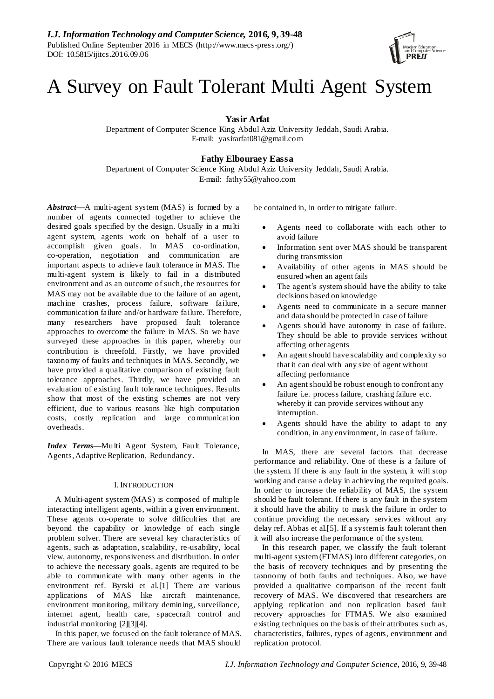# A Survey on Fault Tolerant Multi Agent System

**Yasir Arfat**

Department of Computer Science King Abdul Aziz University Jeddah, Saudi Arabia. E-mail: yasirarfat081@gmail.com

## **Fathy Elbouraey Eassa**

Department of Computer Science King Abdul Aziz University Jeddah, Saudi Arabia. E-mail: fathy55@yahoo.com

*Abstract***—**A multi-agent system (MAS) is formed by a number of agents connected together to achieve the desired goals specified by the design. Usually in a multi agent system, agents work on behalf of a user to accomplish given goals. In MAS co-ordination, co-operation, negotiation and communication are important aspects to achieve fault tolerance in MAS. The multi-agent system is likely to fail in a distributed environment and as an outcome of such, the resources for MAS may not be available due to the failure of an agent, machine crashes, process failure, software failure, communication failure and/or hardware failure. Therefore, many researchers have proposed fault tolerance approaches to overcome the failure in MAS. So we have surveyed these approaches in this paper, whereby our contribution is threefold. Firstly, we have provided taxonomy of faults and techniques in MAS. Secondly, we have provided a qualitative comparison of existing fault tolerance approaches. Thirdly, we have provided an evaluation of existing fault tolerance techniques. Results show that most of the existing schemes are not very efficient, due to various reasons like high computation costs, costly replication and large communication overheads.

*Index Terms***—**Multi Agent System, Fault Tolerance, Agents, Adaptive Replication, Redundancy.

## I. INTRODUCTION

A Multi-agent system (MAS) is composed of multiple interacting intelligent agents, within a given environment. These agents co-operate to solve difficulties that are beyond the capability or knowledge of each single problem solver. There are several key characteristics of agents, such as adaptation, scalability, re-usability, local view, autonomy, responsiveness and distribution. In order to achieve the necessary goals, agents are required to be able to communicate with many other agents in the environment ref. Byrski et al.[1] There are various applications of MAS like aircraft maintenance, environment monitoring, military demining, surveillance, internet agent, health care, spacecraft control and industrial monitoring [2][3][4].

In this paper, we focused on the fault tolerance of MAS. There are various fault tolerance needs that MAS should

be contained in, in order to mitigate failure.

- Agents need to collaborate with each other to avoid failure
- Information sent over MAS should be transparent during transmission
- Availability of other agents in MAS should be ensured when an agent fails
- The agent's system should have the ability to take decisions based on knowledge
- Agents need to communicate in a secure manner and data should be protected in case of failure
- Agents should have autonomy in case of failure. They should be able to provide services without affecting other agents
- An agent should have scalability and complexity so that it can deal with any size of agent without affecting performance
- An agent should be robust enough to confront any failure i.e. process failure, crashing failure etc. whereby it can provide services without any interruption.
- Agents should have the ability to adapt to any condition, in any environment, in case of failure.

In MAS, there are several factors that decrease performance and reliability. One of these is a failure of the system. If there is any fault in the system, it will stop working and cause a delay in achieving the required goals. In order to increase the reliability of MAS, the system should be fault tolerant. If there is any fault in the system it should have the ability to mask the failure in order to continue providing the necessary services without any delay ref. Abbas et al.[5]. If a system is fault tolerant then it will also increase the performance of the system.

In this research paper, we classify the fault tolerant multi-agent system (FTMAS) into different categories, on the basis of recovery techniques and by presenting the taxonomy of both faults and techniques. Also, we have provided a qualitative comparison of the recent fault recovery of MAS. We discovered that researchers are applying replication and non replication based fault recovery approaches for FTMAS. We also examined existing techniques on the basis of their attributes such as, characteristics, failures, types of agents, environment and replication protocol.

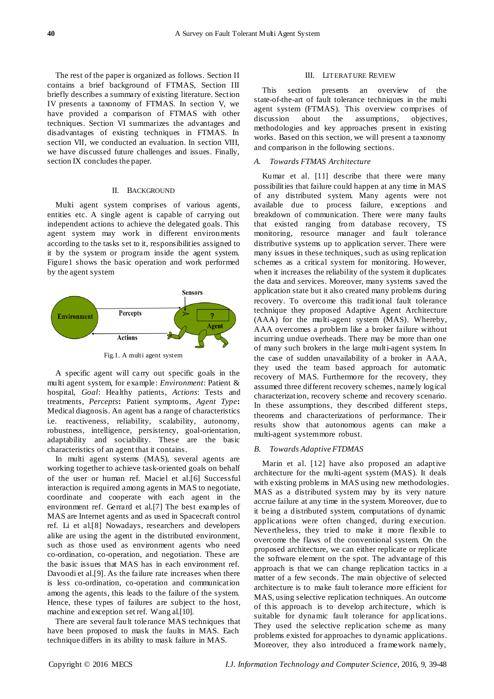The rest of the paper is organized as follows. Section II contains a brief background of FTMAS, Section III briefly describes a summary of existing literature. Section IV presents a taxonomy of FTMAS. In section V, we have provided a comparison of FTMAS with other techniques. Section VI summarizes the advantages and disadvantages of existing techniques in FTMAS. In section VII, we conducted an evaluation. In section VIII, we have discussed future challenges and issues. Finally, section IX concludes the paper.

#### II. BACKGROUND

Multi agent system comprises of various agents, entities etc. A single agent is capable of carrying out independent actions to achieve the delegated goals. This agent system may work in different environments according to the tasks set to it, responsibilities assigned to it by the system or program inside the agent system. Figure1 shows the basic operation and work performed by the agent system



Fig.1. A multi agent system

A specific agent will carry out specific goals in the multi agent system, for example: *Environment*: Patient & hospital, *Goal*: Healthy patients, *Actions*: Tests and treatments, *Percepts***:** Patient symptoms, *Agent Type***:**  Medical diagnosis. An agent has a range of characteristics i.e. reactiveness, reliability, scalability, autonomy, robustness, intelligence, persistency, goal-orientation, adaptability and sociability. These are the basic characteristics of an agent that it contains.

In multi agent systems (MAS), several agents are working together to achieve task-oriented goals on behalf of the user or human ref. Maciel et al.[6] Successful interaction is required among agents in MAS to negotiate, coordinate and cooperate with each agent in the environment ref. Gerrard et al.[7] The best examples of MAS are Internet agents and as used in Spacecraft control ref. Li et al.[8] Nowadays, researchers and developers alike are using the agent in the distributed environment, such as those used as environment agents who need co-ordination, co-operation, and negotiation. These are the basic issues that MAS has in each environment ref. Davoodi et al.[9]. As the failure rate increases when there is less co-ordination, co-operation and communication among the agents, this leads to the failure of the system. Hence, these types of failures are subject to the host, machine and exception set ref. Wang al.[10].

There are several fault tolerance MAS techniques that have been proposed to mask the faults in MAS. Each technique differs in its ability to mask failure in MAS.

#### III. LITERATURE REVIEW

This section presents an overview of the state-of-the-art of fault tolerance techniques in the multi agent system (FTMAS). This overview comprises of discussion about the assumptions, objectives, methodologies and key approaches present in existing works. Based on this section, we will present a taxonomy and comparison in the following sections.

## *A. Towards FTMAS Architecture*

Kumar et al. [11] describe that there were many possibilities that failure could happen at any time in MAS of any distributed system. Many agents were not available due to process failure, exceptions and breakdown of communication. There were many faults that existed ranging from database recovery, TS monitoring, resource manager and fault tolerance distributive systems up to application server. There were many issues in these techniques, such as using replication schemes as a critical system for monitoring. However, when it increases the reliability of the system it duplicates the data and services. Moreover, many systems saved the application state but it also created many problems during recovery. To overcome this tradit ional fault tolerance technique they proposed Adaptive Agent Architecture (AAA) for the multi-agent system (MAS). Whereby, AAA overcomes a problem like a broker failure without incurring undue overheads. There may be more than one of many such brokers in the large multi-agent system. In the case of sudden unavailability of a broker in AAA, they used the team based approach for automatic recovery of MAS. Furthermore for the recovery, they assumed three different recovery schemes, namely logical characterization, recovery scheme and recovery scenario. In these assumptions, they described different steps, theorems and characterizations of performance. Their results show that autonomous agents can make a multi-agent system more robust.

#### *B. Towards Adaptive FTDMAS*

Marin et al. [12] have also proposed an adaptive architecture for the multi-agent system (MAS). It deals with existing problems in MAS using new methodologies. MAS as a distributed system may by its very nature accrue failure at any time in the system. Moreover, due to it being a distributed system, computations of dynamic applications were often changed, during execution. Nevertheless, they tried to make it more flexible to overcome the flaws of the conventional system. On the proposed architecture, we can either replicate or replicate the software element on the spot. The advantage of this approach is that we can change replication tactics in a matter of a few seconds. The main objective of selected architecture is to make fault tolerance more efficient for MAS, using selective replication techniques. An outcome of this approach is to develop architecture, which is suitable for dynamic fault tolerance for applications. They used the selective replication scheme as many problems existed for approaches to dynamic applications. Moreover, they also introduced a framework namely,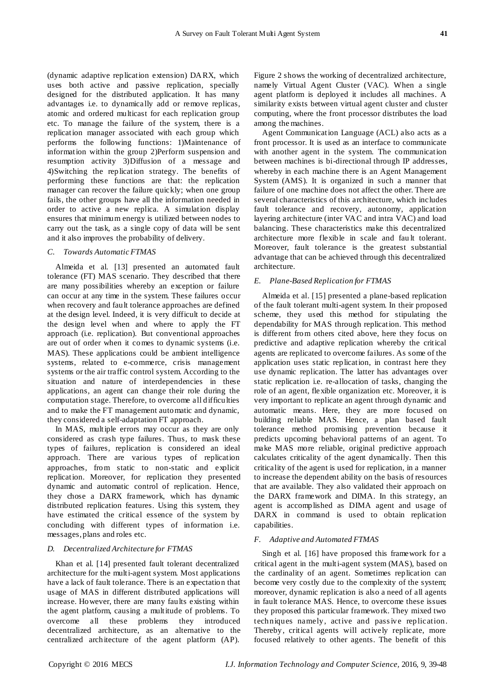(dynamic adaptive replication extension) DARX, which uses both active and passive replication, specially designed for the distributed application. It has many advantages i.e. to dynamically add or remove replicas, atomic and ordered multicast for each replication group etc. To manage the failure of the system, there is a replication manager associated with each group which performs the following functions: 1)Maintenance of information within the group 2)Perform suspension and resumption activity 3)Diffusion of a message and 4)Switching the replication strategy. The benefits of performing these functions are that: the replication manager can recover the failure quickly; when one group fails, the other groups have all the information needed in order to active a new replica. A simulation display ensures that minimum energy is utilized between nodes to carry out the task, as a single copy of data will be sent and it also improves the probability of delivery.

## *C. Towards Automatic FTMAS*

Almeida et al. [13] presented an automated fault tolerance (FT) MAS scenario. They described that there are many possibilities whereby an exception or failure can occur at any time in the system. These failures occur when recovery and fault tolerance approaches are defined at the design level. Indeed, it is very difficult to decide at the design level when and where to apply the FT approach (i.e. replication). But conventional approaches are out of order when it comes to dynamic systems (i.e. MAS). These applications could be ambient intelligence systems, related to e-commerce, crisis management systems or the air traffic control system. According to the situation and nature of interdependencies in these applications, an agent can change their role during the computation stage. Therefore, to overcome all difficulties and to make the FT management automatic and dynamic, they considered a self-adaptation FT approach.

In MAS, multiple errors may occur as they are only considered as crash type failures. Thus, to mask these types of failures, replication is considered an ideal approach. There are various types of replication approaches, from static to non-static and explicit replication. Moreover, for replication they presented dynamic and automatic control of replication. Hence, they chose a DARX framework, which has dynamic distributed replication features. Using this system, they have estimated the critical essence of the system by concluding with different types of information i.e. messages, plans and roles etc.

#### *D. Decentralized Architecture for FTMAS*

Khan et al. [14] presented fault tolerant decentralized architecture for the multi-agent system. Most applications have a lack of fault tolerance. There is an expectation that usage of MAS in different distributed applications will increase. However, there are many faults existing within the agent platform, causing a multitude of problems. To overcome all these problems they introduced decentralized architecture, as an alternative to the centralized architecture of the agent platform (AP).

Figure 2 shows the working of decentralized architecture, namely Virtual Agent Cluster (VAC). When a single agent platform is deployed it includes all machines. A similarity exists between virtual agent cluster and cluster computing, where the front processor distributes the load among the machines.

Agent Communication Language (ACL) also acts as a front processor. It is used as an interface to communicate with another agent in the system. The communication between machines is bi-directional through IP addresses, whereby in each machine there is an Agent Management System (AMS). It is organized in such a manner that failure of one machine does not affect the other. There are several characteristics of this architecture, which includes fault tolerance and recovery, autonomy, application layering architecture (inter VAC and intra VAC) and load balancing. These characteristics make this decentralized architecture more flexible in scale and fau lt tolerant. Moreover, fault tolerance is the greatest substantial advantage that can be achieved through this decentralized architecture.

## *E. Plane-Based Replication for FTMAS*

Almeida et al. [15] presented a plane-based replication of the fault tolerant multi-agent system. In their proposed scheme, they used this method for stipulating the dependability for MAS through replication. This method is different from others cited above, here they focus on predictive and adaptive replication whereby the critical agents are replicated to overcome failures. As some of the application uses static replication, in contrast here they use dynamic replication. The latter has advantages over static replication i.e. re-allocation of tasks, changing the role of an agent, flexible organization etc. Moreover, it is very important to replicate an agent through dynamic and automatic means. Here, they are more focused on building reliable MAS. Hence, a plan based fault tolerance method promising prevention because it predicts upcoming behavioral patterns of an agent. To make MAS more reliable, original predictive approach calculates criticality of the agent dynamically. Then this criticality of the agent is used for replication, in a manner to increase the dependent ability on the basis of resources that are available. They also validated their approach on the DARX framework and DIMA. In this strategy, an agent is accomplished as DIMA agent and usage of DARX in command is used to obtain replication capabilities.

#### *F. Adaptive and Automated FTMAS*

Singh et al. [16] have proposed this framework for a critical agent in the multi-agent system (MAS), based on the cardinality of an agent. Sometimes replication can become very costly due to the complexity of the system; moreover, dynamic replication is also a need of all agents in fault tolerance MAS. Hence, to overcome these issues they proposed this particular framework. They mixed two techniques namely, active and pass ive replication. Thereby, critical agents will actively replicate, more focused relatively to other agents. The benefit of this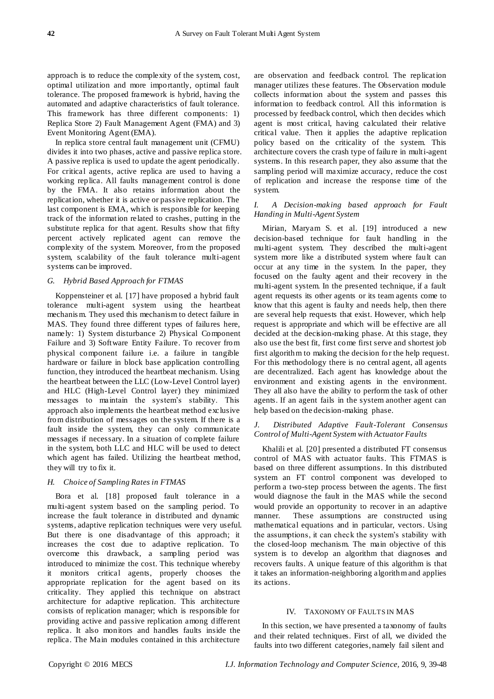approach is to reduce the complexity of the system, cost, optimal utilization and more importantly, optimal fault tolerance. The proposed framework is hybrid, having the automated and adaptive characteristics of fault tolerance. This framework has three different components: 1) Replica Store 2) Fault Management Agent (FMA) and 3) Event Monitoring Agent (EMA).

In replica store central fault management unit (CFMU) divides it into two phases, active and passive replica store. A passive replica is used to update the agent periodically. For critical agents, active replica are used to having a working replica. All faults management control is done by the FMA. It also retains information about the replication, whether it is active or passive replication. The last component is EMA, which is responsible for keeping track of the information related to crashes, putting in the substitute replica for that agent. Results show that fifty percent actively replicated agent can remove the complexity of the system. Moreover, from the proposed system, scalability of the fault tolerance multi-agent systems can be improved.

#### *G. Hybrid Based Approach for FTMAS*

Koppensteiner et al. [17] have proposed a hybrid fault tolerance multi-agent system using the heartbeat mechanis m. They used this mechanism to detect failure in MAS. They found three different types of failures here, namely: 1) System disturbance 2) Physical Component Failure and 3) Software Entity Failure. To recover from physical component failure i.e. a failure in tangible hardware or failure in block base application controlling function, they introduced the heartbeat mechanism. Using the heartbeat between the LLC (Low-Level Control layer) and HLC (High-Level Control layer) they minimized messages to maintain the system's stability. This approach also implements the heartbeat method exclusive from distribution of messages on the system. If there is a fault inside the system, they can only communicate messages if necessary. In a situation of complete failure in the system, both LLC and HLC will be used to detect which agent has failed. Utilizing the heartbeat method, they will try to fix it.

## *H. Choice of Sampling Rates in FTMAS*

Bora et al. [18] proposed fault tolerance in a multi-agent system based on the sampling period. To increase the fault tolerance in distributed and dynamic systems, adaptive replication techniques were very useful. But there is one disadvantage of this approach; it increases the cost due to adaptive replication. To overcome this drawback, a sampling period was introduced to minimize the cost. This technique whereby it monitors critical agents, properly chooses the appropriate replication for the agent based on its criticality. They applied this technique on abstract architecture for adaptive replication. This architecture consists of replication manager; which is responsible for providing active and passive replication among different replica. It also monitors and handles faults inside the replica. The Main modules contained in this architecture

are observation and feedback control. The replication manager utilizes these features. The Observation module collects information about the system and passes this information to feedback control. All this information is processed by feedback control, which then decides which agent is most critical, having calculated their relative critical value. Then it applies the adaptive replication policy based on the criticality of the system. This architecture covers the crash type of failure in multi-agent systems. In this research paper, they also assume that the sampling period will maximize accuracy, reduce the cost of replication and increase the response time of the system.

## *I. A Decision-making based approach for Fault Handing in Multi-Agent System*

Mirian, Maryam S. et al. [19] introduced a new decision-based technique for fault handling in the multi-agent system. They described the multi-agent system more like a distributed system where fault can occur at any time in the system. In the paper, they focused on the faulty agent and their recovery in the multi-agent system. In the presented technique, if a fault agent requests its other agents or its team agents come to know that this agent is faulty and needs help, then there are several help requests that exist. However, which help request is appropriate and which will be effective are all decided at the decision-making phase. At this stage, they also use the best fit, first come first serve and shortest job first algorithm to making the decision for the help request. For this methodology there is no central agent, all agents are decentralized. Each agent has knowledge about the environment and existing agents in the environment. They all also have the ability to perform the task of other agents. If an agent fails in the system another agent can help based on the decision-making phase.

## *J. Distributed Adaptive Fault-Tolerant Consensus Control of Multi-Agent System with Actuator Faults*

Khalili et al. [20] presented a distributed FT consensus control of MAS with actuator faults. This FTMAS is based on three different assumptions. In this distributed system an FT control component was developed to perform a two-step process between the agents. The first would diagnose the fault in the MAS while the second would provide an opportunity to recover in an adaptive manner. These assumptions are constructed using mathematical equations and in particular, vectors. Using the assumptions, it can check the system's stability with the closed-loop mechanism. The main objective of this system is to develop an algorithm that diagnoses and recovers faults. A unique feature of this algorithm is that it takes an information-neighboring algorithm and applies its actions.

## IV. TAXONOMY OF FAULTS IN MAS

In this section, we have presented a taxonomy of faults and their related techniques. First of all, we divided the faults into two different categories, namely fail silent and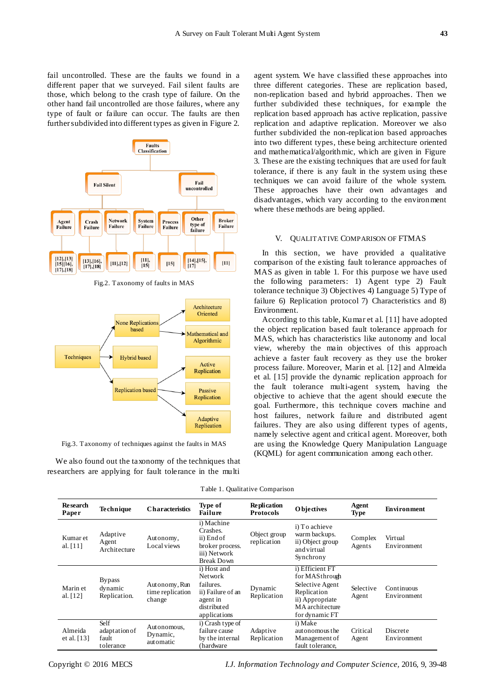fail uncontrolled. These are the faults we found in a different paper that we surveyed. Fail silent faults are those, which belong to the crash type of failure. On the other hand fail uncontrolled are those failures, where any type of fault or failure can occur. The faults are then further subdivided into different types as given in Figure 2.



Fig.2. Taxonomy of faults in MAS



Fig.3. Taxonomy of techniques against the faults in MAS

We also found out the taxonomy of the techniques that researchers are applying for fault tolerance in the multi agent system. We have classified these approaches into three different categories. These are replication based, non-replication based and hybrid approaches. Then we further subdivided these techniques, for example the replication based approach has active replication, passive replication and adaptive replication. Moreover we also further subdivided the non-replication based approaches into two different types, these being architecture oriented and mathematical/algorithmic, which are given in Figure 3. These are the existing techniques that are used for fault tolerance, if there is any fault in the system using these techniques we can avoid failure of the whole system. These approaches have their own advantages and disadvantages, which vary according to the environment where these methods are being applied.

## V. QUALITATIVE COMPARISON OF FTMAS

In this section, we have provided a qualitative comparison of the existing fault tolerance approaches of MAS as given in table 1. For this purpose we have used the following parameters: 1) Agent type 2) Fault tolerance technique 3) Objectives 4) Language 5) Type of failure 6) Replication protocol 7) Characteristics and 8) Environment.

According to this table, Kumar et al. [11] have adopted the object replication based fault tolerance approach for MAS, which has characteristics like autonomy and local view, whereby the main objectives of this approach achieve a faster fault recovery as they use the broker process failure. Moreover, Marin et al. [12] and Almeida et al. [15] provide the dynamic replication approach for the fault tolerance multi-agent system, having the objective to achieve that the agent should execute the goal. Furthermore, this technique covers machine and host failures, network failure and distributed agent failures. They are also using different types of agents, namely selective agent and critical agent. Moreover, both are using the Knowledge Query Manipulation Language (KQML) for agent communication among each other.

| <b>Research</b><br>Paper | <b>Technique</b>                            | <b>Characteristics</b>                      | Type of<br><b>Failure</b>                                                                            | <b>Replication</b><br><b>Protocols</b> | <b>O</b> bjectives                                                                                                          | Agent<br><b>Type</b> | <b>Environment</b>        |
|--------------------------|---------------------------------------------|---------------------------------------------|------------------------------------------------------------------------------------------------------|----------------------------------------|-----------------------------------------------------------------------------------------------------------------------------|----------------------|---------------------------|
| Kumar et<br>al. $[11]$   | Adaptive<br>Agent<br>Architecture           | Autonomy,<br>Local views                    | i) Machine<br>Crashes.<br>ii) End of<br>broker process.<br>iii) Network<br><b>Break Down</b>         | Object group<br>replication            | i) To achieve<br>warm backups.<br>ii) Object group<br>and virtual<br>Synchrony                                              | Complex<br>Agents    | Virtual<br>Environment    |
| Marin et<br>al. [12]     | <b>Bypass</b><br>dynamic<br>Replication.    | Autonomy, Run<br>time replication<br>change | i) Host and<br>Net work<br>failures.<br>ii) Failure of an<br>agent in<br>distributed<br>applications | Dynamic<br>Replication                 | i) Efficient FT<br>for MASthrough<br>Selective Agent<br>Replication<br>ii) Appropriate<br>MA architecture<br>for dynamic FT | Selective<br>Agent   | Continuous<br>Environment |
| Almeida<br>et al. $[13]$ | Self<br>adaptation of<br>fault<br>tolerance | Autonomous,<br>Dynamic,<br>automatic        | i) Crash type of<br>failure cause<br>by the internal<br>(hardware)                                   | Adaptive<br>Replication                | i) Make<br>autonomous the<br>Management of<br>fault tolerance,                                                              | Critical<br>Agent    | Discrete<br>Environment   |

Table 1. Qualitative Comparison

Copyright © 2016 MECS *I.J. Information Technology and Computer Science,* 2016, 9, 39-48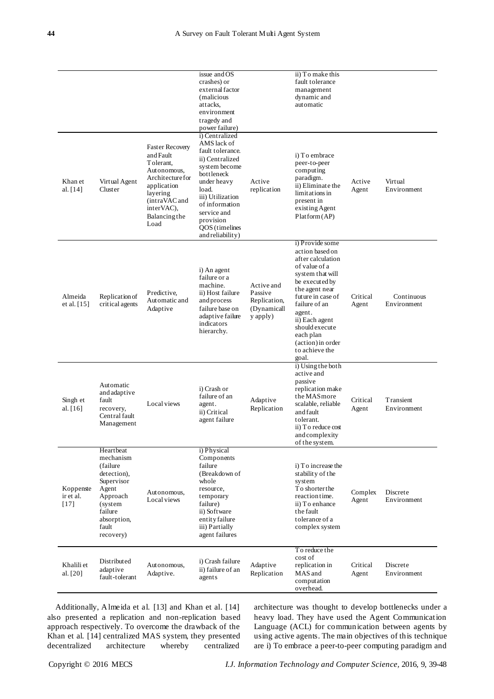|                                  |                                                                                                                                                  |                                                                                                                                                                               | issue and OS<br>crashes) or<br>external factor<br>(malicious<br>attacks.<br>environment<br>tragedy and<br>power failure)                                                                                                            |                                                                  | ii) To make this<br>fault tolerance<br>management<br>dynamic and<br>automatic                                                                                                                                                                                                     |                   |                           |
|----------------------------------|--------------------------------------------------------------------------------------------------------------------------------------------------|-------------------------------------------------------------------------------------------------------------------------------------------------------------------------------|-------------------------------------------------------------------------------------------------------------------------------------------------------------------------------------------------------------------------------------|------------------------------------------------------------------|-----------------------------------------------------------------------------------------------------------------------------------------------------------------------------------------------------------------------------------------------------------------------------------|-------------------|---------------------------|
| Khan et<br>al. [14]              | Virtual Agent<br>Cluster                                                                                                                         | <b>Faster Recovery</b><br>and Fault<br>Tolerant,<br>Autonomous.<br>Architecture for<br>application<br>layering<br>(intraVAC and<br>interVAC),<br><b>Balancing the</b><br>Load | i) Centralized<br>AMS lack of<br>fault tolerance.<br>ii) Centralized<br>system become<br>bottleneck<br>under heavy<br>load.<br>iii) Utilization<br>of information<br>service and<br>provision<br>QOS (timelines<br>and reliability) | Active<br>replication                                            | i) To embrace<br>peer-to-peer<br>computing<br>paradigm.<br>ii) Eliminate the<br>limitations in<br>present in<br>existing Agent<br>Platform (AP)                                                                                                                                   | Active<br>Agent   | Virtual<br>Environment    |
| Almeida<br>et al. [15]           | Replication of<br>critical agents                                                                                                                | Predictive.<br>Automatic and<br>Adaptive                                                                                                                                      | i) An agent<br>failure or a<br>machine.<br>ii) Host failure<br>and process<br>failure base on<br>adaptive failure<br>indicators<br>hierarchy.                                                                                       | Active and<br>Passive<br>Replication,<br>(Dynamicall<br>y apply) | i) Provide some<br>action based on<br>after calculation<br>of value of a<br>system that will<br>be executed by<br>the agent near<br>future in case of<br>failure of an<br>agent.<br>ii) Each agent<br>should execute<br>each plan<br>(action) in order<br>to achieve the<br>goal. | Critical<br>Agent | Continuous<br>Environment |
| Singh et<br>al. [16]             | Automatic<br>and adaptive<br>fault<br>recovery,<br>Central fault<br>Management                                                                   | Local views                                                                                                                                                                   | i) Crash or<br>failure of an<br>agent.<br>ii) Critical<br>agent failure                                                                                                                                                             | Adaptive<br>Replication                                          | i) Using the both<br>active and<br>passive<br>replication make<br>the MAS more<br>scalable, reliable<br>and fault<br>tolerant.<br>ii) To reduce cost<br>and complexity<br>of the system.                                                                                          | Critical<br>Agent | Transient<br>Environment  |
| Koppenste<br>ir et al.<br>$[17]$ | Heartbeat<br>mechanism<br>(failure)<br>detection),<br>Supervisor<br>Agent<br>Approach<br>(system<br>failure<br>absorption,<br>fault<br>recovery) | Autonomous,<br>Local views                                                                                                                                                    | i) Physical<br>Components<br>failure<br>(Breakdown of<br>whole<br>resource,<br>temporary<br>failure)<br>ii) Software<br>entity failure<br>iii) Partially<br>agent failures                                                          |                                                                  | i) To increase the<br>stability of the<br>system<br>To shorter the<br>reaction time.<br>ii) To enhance<br>the fault<br>tolerance of a<br>complex system                                                                                                                           | Complex<br>Agent  | Discrete<br>Environment   |
| Khalili et<br>al. [20]           | Distributed<br>adaptive<br>fault-tolerant                                                                                                        | Autonomous,<br>Adaptive.                                                                                                                                                      | i) Crash failure<br>ii) failure of an<br>agents                                                                                                                                                                                     | Adaptive<br>Replication                                          | To reduce the<br>cost of<br>replication in<br>MAS and<br>computation<br>overhead.                                                                                                                                                                                                 | Critical<br>Agent | Discrete<br>Environment   |

Additionally, Almeida et al. [13] and Khan et al. [14] also presented a replication and non-replication based approach respectively. To overcome the drawback of the Khan et al. [14] centralized MAS system, they presented decentralized architecture whereby centralized

architecture was thought to develop bottlenecks under a heavy load. They have used the Agent Communication Language (ACL) for communication between agents by using active agents. The main objectives of this technique are i) To embrace a peer-to-peer computing paradigm and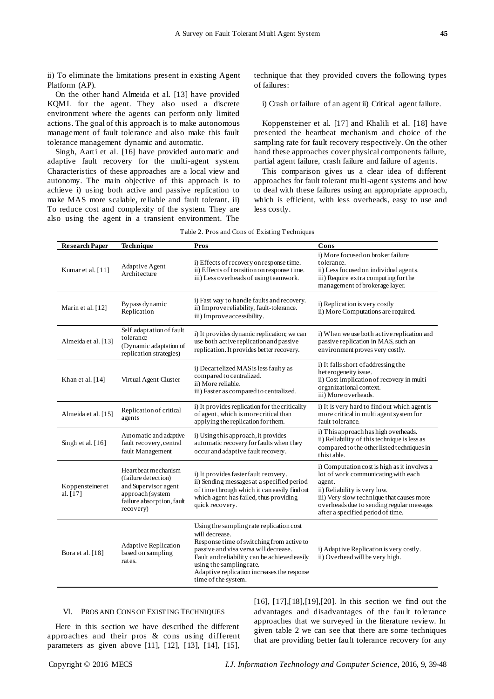ii) To eliminate the limitations present in existing Agent Platform (AP).

On the other hand Almeida et al. [13] have provided KQML for the agent. They also used a discrete environment where the agents can perform only limited actions. The goal of this approach is to make autonomous management of fault tolerance and also make this fault tolerance management dynamic and automatic.

Singh, Aarti et al. [16] have provided automatic and adaptive fault recovery for the multi-agent system. Characteristics of these approaches are a local view and autonomy. The main objective of this approach is to achieve i) using both active and passive replication to make MAS more scalable, reliable and fault tolerant. ii) To reduce cost and complexity of the system. They are also using the agent in a transient environment. The technique that they provided covers the following types of failures:

i) Crash or failure of an agent ii) Critical agent failure.

Koppensteiner et al. [17] and Khalili et al. [18] have presented the heartbeat mechanism and choice of the sampling rate for fault recovery respectively. On the other hand these approaches cover physical components failure, partial agent failure, crash failure and failure of agents.

This comparison gives us a clear idea of different approaches for fault tolerant multi-agent systems and how to deal with these failures using an appropriate approach, which is efficient, with less overheads, easy to use and less costly.

| <b>Research Paper</b>          | Technique                                                                                                                         | Pros                                                                                                                                                                                                                                                                                               | Cons                                                                                                                                                                                                                                                         |
|--------------------------------|-----------------------------------------------------------------------------------------------------------------------------------|----------------------------------------------------------------------------------------------------------------------------------------------------------------------------------------------------------------------------------------------------------------------------------------------------|--------------------------------------------------------------------------------------------------------------------------------------------------------------------------------------------------------------------------------------------------------------|
| Kumar et al. [11]              | Adaptive Agent<br>Architecture                                                                                                    | i) Effects of recovery on response time.<br>ii) Effects of transition on response time.<br>iii) Less overheads of using teamwork.                                                                                                                                                                  | i) More focused on broker failure<br>tolerance.<br>ii) Less focused on individual agents.<br>iii) Require extra computing for the<br>management of brokerage layer.                                                                                          |
| Marin et al. [12]              | Bypass dynamic<br>Replication                                                                                                     | i) Fast way to handle faults and recovery.<br>ii) Improvereliability, fault-tolerance.<br>iii) Improve accessibility.                                                                                                                                                                              | i) Replication is very costly<br>ii) More Computations are required.                                                                                                                                                                                         |
| Almeida et al. [13]            | Self adaptation of fault<br>tolerance<br>(Dynamic adaptation of<br>replication strategies)                                        | i) It provides dynamic replication; we can<br>use both active replication and passive<br>replication. It provides better recovery.                                                                                                                                                                 | i) When we use both active replication and<br>passive replication in MAS, such an<br>environment proves very costly.                                                                                                                                         |
| Khan et al. [14]               | Virtual Agent Cluster                                                                                                             | i) Decartelized MAS is less faulty as<br>compared to centralized.<br>ii) More reliable.<br>iii) Faster as compared to centralized.                                                                                                                                                                 | i) It falls short of addressing the<br>heterogeneity issue.<br>ii) Cost implication of recovery in multi<br>organizational context.<br>iii) More overheads.                                                                                                  |
| Almeida et al. [15]            | Replication of critical<br>agents                                                                                                 | i) It provides replication for the criticality<br>of agent, which is more critical than<br>applying the replication for them.                                                                                                                                                                      | i) It is very hard to find out which agent is<br>more critical in multi agent system for<br>fault tolerance.                                                                                                                                                 |
| Singh et al. $[16]$            | Automatic and adaptive<br>fault recovery, central<br>fault Management                                                             | i) Using this approach, it provides<br>automatic recovery for faults when they<br>occur and adaptive fault recovery.                                                                                                                                                                               | i) This approach has high overheads.<br>ii) Reliability of this technique is less as<br>compared to the other listed techniques in<br>this table.                                                                                                            |
| Koppensteiner et<br>al. $[17]$ | Heart beat mechanism<br>(failure detection)<br>and Supervisor agent<br>approach (system<br>failure absorption, fault<br>recovery) | i) It provides faster fault recovery.<br>ii) Sending messages at a specified period<br>of time through which it can easily find out<br>which agent has failed, thus providing<br>quick recovery.                                                                                                   | i) Computation cost is high as it involves a<br>lot of work communicating with each<br>agent.<br>ii) Reliability is very low.<br>iii) Very slow technique that causes more<br>overheads due to sending regular messages<br>after a specified period of time. |
| Bora et al. [18]               | <b>Adaptive Replication</b><br>based on sampling<br>rates.                                                                        | Using the sampling rate replication cost<br>will decrease.<br>Response time of switching from active to<br>passive and visa versa will decrease.<br>Fault and reliability can be achieved easily<br>using the sampling rate.<br>Adaptive replication increases the response<br>time of the system. | i) Adaptive Replication is very costly.<br>ii) Overhead will be very high.                                                                                                                                                                                   |

Table 2. Pros and Cons of Existing Techniques

#### VI. PROS AND CONS OF EXISTING TECHNIQUES

Here in this section we have described the different approaches and their pros & cons us ing different parameters as given above [11], [12], [13], [14], [15],

[16], [17],[18],[19],[20]. In this section we find out the advantages and disadvantages of the fau lt tolerance approaches that we surveyed in the literature review. In given table 2 we can see that there are some techniques that are providing better fault tolerance recovery for any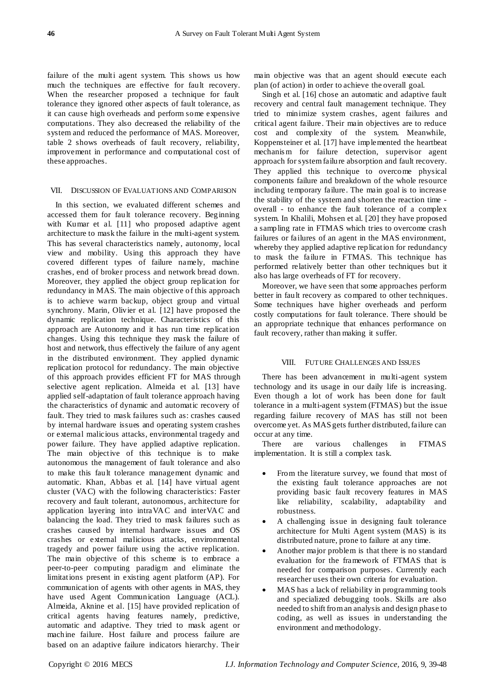failure of the multi agent system. This shows us how much the techniques are effective for fault recovery. When the researcher proposed a technique for fault tolerance they ignored other aspects of fault tolerance, as it can cause high overheads and perform some expensive computations. They also decreased the reliability of the system and reduced the performance of MAS. Moreover, table 2 shows overheads of fault recovery, reliability, improvement in performance and computational cost of these approaches.

#### VII. DISCUSSION OF EVALUATIONS AND COMPARISON

In this section, we evaluated different schemes and accessed them for fault tolerance recovery. Beginning with Kumar et al. [11] who proposed adaptive agent architecture to mask the failure in the multi-agent system. This has several characteristics namely, autonomy, local view and mobility. Using this approach they have covered different types of failure namely, machine crashes, end of broker process and network bread down. Moreover, they applied the object group replication for redundancy in MAS. The main objective of this approach is to achieve warm backup, object group and virtual synchrony. Marin, Olivier et al. [12] have proposed the dynamic replication technique. Characteristics of this approach are Autonomy and it has run time replication changes. Using this technique they mask the failure of host and network, thus effectively the failure of any agent in the distributed environment. They applied dynamic replication protocol for redundancy. The main objective of this approach provides efficient FT for MAS through selective agent replication. Almeida et al. [13] have applied self-adaptation of fault tolerance approach having the characteristics of dynamic and automatic recovery of fault. They tried to mask failures such as: crashes caused by internal hardware issues and operating system crashes or external malicious attacks, environmental tragedy and power failure. They have applied adaptive replication. The main objective of this technique is to make autonomous the management of fault tolerance and also to make this fault tolerance management dynamic and automatic. Khan, Abbas et al. [14] have virtual agent cluster (VAC) with the following characteristics: Faster recovery and fault tolerant, autonomous, architecture for application layering into intraVAC and interVAC and balancing the load. They tried to mask failures such as crashes caused by internal hardware issues and OS crashes or external malicious attacks, environmental tragedy and power failure using the active replication. The main objective of this scheme is to embrace a peer-to-peer computing paradigm and eliminate the limitations present in existing agent platform (AP). For communication of agents with other agents in MAS, they have used Agent Communication Language (ACL). Almeida, Aknine et al. [15] have provided replication of critical agents having features namely, predictive, automatic and adaptive. They tried to mask agent or machine failure. Host failure and process failure are based on an adaptive failure indicators hierarchy. Their

main objective was that an agent should execute each plan (of action) in order to achieve the overall goal.

Singh et al. [16] chose an automatic and adaptive fault recovery and central fault management technique. They tried to minimize system crashes, agent failures and critical agent failure. Their main objectives are to reduce cost and complexity of the system. Meanwhile, Koppensteiner et al. [17] have implemented the heartbeat mechanis m for failure detection, supervisor agent approach for system failure absorption and fault recovery. They applied this technique to overcome physical components failure and breakdown of the whole resource including temporary failure. The main goal is to increase the stability of the system and shorten the reaction time overall - to enhance the fault tolerance of a complex system. In Khalili, Mohsen et al. [20] they have proposed a sampling rate in FTMAS which tries to overcome crash failures or failures of an agent in the MAS environment, whereby they applied adaptive replication for redundancy to mask the failure in FTMAS. This technique has performed relatively better than other techniques but it also has large overheads of FT for recovery.

Moreover, we have seen that some approaches perform better in fault recovery as compared to other techniques. Some techniques have higher overheads and perform costly computations for fault tolerance. There should be an appropriate technique that enhances performance on fault recovery, rather than making it suffer.

#### VIII. FUTURE CHALLENGES AND ISSUES

There has been advancement in multi-agent system technology and its usage in our daily life is increasing. Even though a lot of work has been done for fault tolerance in a multi-agent system (FTMAS) but the issue regarding failure recovery of MAS has still not been overcome yet. As MAS gets further distributed, failure can occur at any time.

There are various challenges in FTMAS implementation. It is still a complex task.

- From the literature survey, we found that most of the existing fault tolerance approaches are not providing basic fault recovery features in MAS like reliability, scalability, adaptability and robustness.
- A challenging issue in designing fault tolerance architecture for Multi Agent system (MAS) is its distributed nature, prone to failure at any time.
- Another major problem is that there is no standard evaluation for the framework of FTMAS that is needed for comparison purposes. Currently each researcher uses their own criteria for evaluation.
- MAS has a lack of reliability in programming tools and specialized debugging tools. Skills are also needed to shift from an analysis and design phase to coding, as well as issues in understanding the environment and methodology.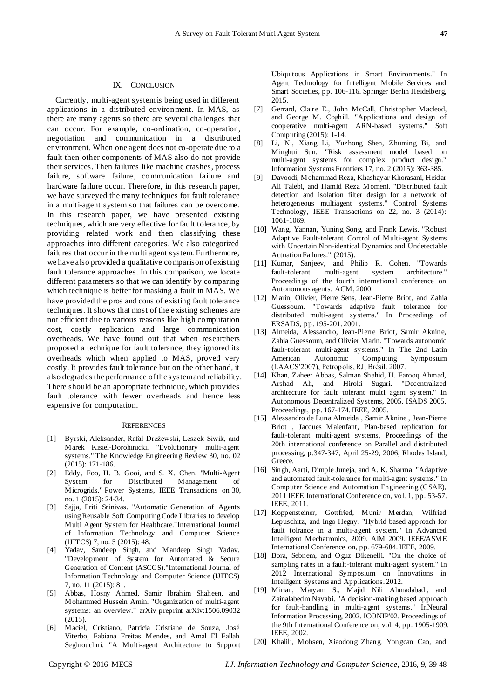## IX. CONCLUSION

Currently, multi-agent system is being used in different applications in a distributed environment. In MAS, as there are many agents so there are several challenges that can occur. For example, co-ordination, co-operation, negotiation and communication in a distributed environment. When one agent does not co-operate due to a fault then other components of MAS also do not provide their services. Then failures like machine crashes, process failure, software failure, communication failure and hardware failure occur. Therefore, in this research paper, we have surveyed the many techniques for fault tolerance in a multi-agent system so that failures can be overcome. In this research paper, we have presented existing techniques, which are very effective for fault tolerance, by providing related work and then classifying these approaches into different categories. We also categorized failures that occur in the multi agent system. Furthermore, we have also provided a qualitative comparison of existing fault tolerance approaches. In this comparison, we locate different parameters so that we can identify by comparing which technique is better for masking a fault in MAS. We have provided the pros and cons of existing fault tolerance techniques. It shows that most of the e xisting schemes are not efficient due to various reasons like high computation cost, costly replication and large communication overheads. We have found out that when researchers proposed a technique for fault tolerance, they ignored its overheads which when applied to MAS, proved very costly. It provides fault tolerance but on the other hand, it also degrades the performance of the system and reliability. There should be an appropriate technique, which provides fault tolerance with fewer overheads and hence less expensive for computation.

#### **REFERENCES**

- [1] Byrski, Aleksander, Rafał Dreżewski, Leszek Siwik, and Marek Kisiel-Dorohinicki. "Evolutionary multi-agent systems." The Knowledge Engineering Review 30, no. 02 (2015): 171-186.
- [2] Eddy, Foo, H. B. Gooi, and S. X. Chen. "Multi-Agent System for Distributed Management of Microgrids." Power Systems, IEEE Transactions on 30, no. 1 (2015): 24-34.
- [3] Sajja, Priti Srinivas. "Automatic Generation of Agents using Reusable Soft Computing Code Libraries to develop Multi Agent System for Healthcare."International Journal of Information Technology and Computer Science (IJITCS) 7, no. 5 (2015): 48.
- [4] Yadav, Sandeep Singh, and Mandeep Singh Yadav. "Development of System for Automated & Secure Generation of Content (ASCGS)."International Journal of Information Technology and Computer Science (IJITCS) 7, no. 11 (2015): 81.
- [5] Abbas, Hosny Ahmed, Samir Ibrahim Shaheen, and Mohammed Hussein Amin. "Organization of multi-agent systems: an overview." arXiv preprint arXiv:1506.09032 (2015).
- [6] Maciel, Cristiano, Patricia Cristiane de Souza, José Viterbo, Fabiana Freitas Mendes, and Amal El Fallah Seghrouchni. "A Multi-agent Architecture to Support

Ubiquitous Applications in Smart Environments." In Agent Technology for Intelligent Mobile Services and Smart Societies, pp. 106-116. Springer Berlin Heidelberg, 2015.

- [7] Gerrard, Claire E., John McCall, Christopher Macleod, and George M. Coghill. "Applications and design of cooperative multi-agent ARN-based systems." Soft Computing (2015): 1-14.
- [8] Li, Ni, Xiang Li, Yuzhong Shen, Zhuming Bi, and Minghui Sun. "Risk assessment model based on multi-agent systems for complex product design." Information Systems Frontiers 17, no. 2 (2015): 363-385.
- [9] Davoodi, Mohammad Reza, Khashayar Khorasani, Heidar Ali Talebi, and Hamid Reza Momeni. "Distributed fault detection and isolation filter design for a network of heterogeneous multiagent systems." Control Systems Technology, IEEE Transactions on 22, no. 3 (2014): 1061-1069.
- [10] Wang, Yannan, Yuning Song, and Frank Lewis. "Robust Adaptive Fault-tolerant Control of Multi-agent Systems with Uncertain Non-identical Dynamics and Undetectable Actuation Failures." (2015).
- [11] Kumar, Sanjeev, and Philip R. Cohen. "Towards fault-tolerant multi-agent system architecture." Proceedings of the fourth international conference on Autonomous agents. ACM, 2000.
- [12] Marin, Olivier, Pierre Sens, Jean-Pierre Briot, and Zahia Guessoum. "Towards adaptive fault tolerance for distributed multi-agent systems." In Proceedings of ERSADS, pp. 195-201. 2001.
- [13] Almeida, Alessandro, Jean-Pierre Briot, Samir Aknine, Zahia Guessoum, and Olivier Marin. "Towards autonomic fault-tolerant multi-agent systems." In The 2nd Latin American Autonomic Computing Symposium (LAACS'2007), Petropolis, RJ, Brésil. 2007.
- [14] Khan, Zaheer Abbas, Salman Shahid, H. Farooq Ahmad, Arshad Ali, and Hiroki Suguri. "Decentralized architecture for fault tolerant multi agent system." In Autonomous Decentralized Systems, 2005. ISADS 2005. Proceedings, pp. 167-174. IEEE, 2005.
- [15] Alessandro de Luna Almeida , Samir Aknine , Jean-Pierre Briot , Jacques Malenfant, Plan-based replication for fault-tolerant multi-agent systems, Proceedings of the 20th international conference on Parallel and distributed processing, p.347-347, April 25-29, 2006, Rhodes Island, Greece.
- [16] Singh, Aarti, Dimple Juneja, and A. K. Sharma. "Adaptive and automated fault-tolerance for multi-agent systems." In Computer Science and Automation Engineering (CSAE), 2011 IEEE International Conference on, vol. 1, pp. 53-57. IEEE, 2011.
- [17] Koppensteiner, Gottfried, Munir Merdan, Wilfried Lepuschitz, and Ingo Hegny. "Hybrid based approach for fault tolrance in a multi-agent system." In Advanced Intelligent Mechatronics, 2009. AIM 2009. IEEE/ASME International Conference on, pp. 679-684. IEEE, 2009.
- [18] Bora, Sebnem, and Oguz Dikenelli. "On the choice of sampling rates in a fault-tolerant multi-agent system." In 2012 International Symposium on Innovations in Intelligent Systems and Applications. 2012.
- [19] Mirian, Maryam S., Majid Nili Ahmadabadi, and Zainalabedm Navabi. "A decision-making based approach for fault-handling in multi-agent systems." InNeural Information Processing, 2002. ICONIP'02. Proceedings of the 9th International Conference on, vol. 4, pp. 1905-1909. IEEE, 2002.
- [20] Khalili, Mohsen, Xiaodong Zhang, Yongcan Cao, and